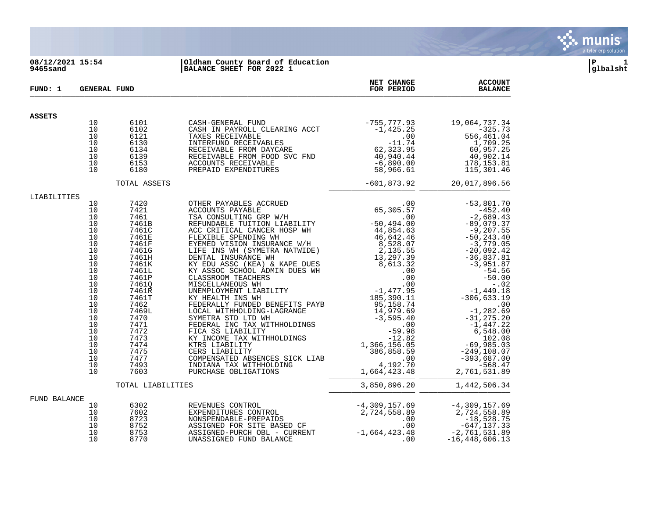

# **08/12/2021 15:54 |Oldham County Board of Education |P 1 9465sand |BALANCE SHEET FOR 2022 1 |glbalsht**

| FUND: 1       | <b>GENERAL FUND</b> |                   |                                                                                                                                                                                                                                                                                                                                                                   | NET CHANGE<br>FOR PERIOD    | <b>ACCOUNT</b><br><b>BALANCE</b> |
|---------------|---------------------|-------------------|-------------------------------------------------------------------------------------------------------------------------------------------------------------------------------------------------------------------------------------------------------------------------------------------------------------------------------------------------------------------|-----------------------------|----------------------------------|
| <b>ASSETS</b> |                     |                   |                                                                                                                                                                                                                                                                                                                                                                   |                             |                                  |
|               | 10                  | 6101              |                                                                                                                                                                                                                                                                                                                                                                   |                             |                                  |
|               | 10                  | 6102              |                                                                                                                                                                                                                                                                                                                                                                   |                             |                                  |
|               | 10                  | 6121              |                                                                                                                                                                                                                                                                                                                                                                   |                             |                                  |
|               | 10<br>10            | 6130<br>6134      |                                                                                                                                                                                                                                                                                                                                                                   |                             |                                  |
|               | 10                  | 6139              |                                                                                                                                                                                                                                                                                                                                                                   |                             |                                  |
|               | 10                  | 6153              |                                                                                                                                                                                                                                                                                                                                                                   |                             |                                  |
|               | 10                  | 6180              | $\begin{tabular}{l c c c c c c c} \multicolumn{1}{c }{CASH-GENERAL & FUND} & -755,777.93 & 19,064,737.34 \\ \multicolumn{1}{c}{CASH-IN-PROEIVABLE} & -1,425.25 & -325.73 \\ \multicolumn{1}{c}{TAKES} & -1,425.25 & -325.73 \\ \multicolumn{1}{c}{TAKES} & -325.73 & -1,425.25 & -325.73 \\ \multicolumn{1}{c}{TAKES} & -1,425.25 & -325.73 \\ \multicolumn{1}{c$ |                             |                                  |
|               |                     | TOTAL ASSETS      |                                                                                                                                                                                                                                                                                                                                                                   | $-601,873.92$ 20,017,896.56 |                                  |
| LIABILITIES   |                     |                   |                                                                                                                                                                                                                                                                                                                                                                   |                             |                                  |
|               | 10                  |                   |                                                                                                                                                                                                                                                                                                                                                                   |                             |                                  |
|               | 10<br>10            |                   |                                                                                                                                                                                                                                                                                                                                                                   |                             |                                  |
|               | 10                  |                   |                                                                                                                                                                                                                                                                                                                                                                   |                             |                                  |
|               | 10                  |                   |                                                                                                                                                                                                                                                                                                                                                                   |                             |                                  |
|               | 10                  |                   |                                                                                                                                                                                                                                                                                                                                                                   |                             |                                  |
|               | 10                  |                   |                                                                                                                                                                                                                                                                                                                                                                   |                             |                                  |
|               | 10                  |                   |                                                                                                                                                                                                                                                                                                                                                                   |                             |                                  |
|               | 10<br>10            |                   |                                                                                                                                                                                                                                                                                                                                                                   |                             |                                  |
|               | 10                  |                   |                                                                                                                                                                                                                                                                                                                                                                   |                             |                                  |
|               | 10                  |                   |                                                                                                                                                                                                                                                                                                                                                                   |                             |                                  |
|               | 10                  |                   |                                                                                                                                                                                                                                                                                                                                                                   |                             |                                  |
|               | 10                  |                   |                                                                                                                                                                                                                                                                                                                                                                   |                             |                                  |
|               | 10                  |                   |                                                                                                                                                                                                                                                                                                                                                                   |                             |                                  |
|               | 10                  |                   |                                                                                                                                                                                                                                                                                                                                                                   |                             |                                  |
|               | 10<br>10            |                   |                                                                                                                                                                                                                                                                                                                                                                   |                             |                                  |
|               | 10                  |                   |                                                                                                                                                                                                                                                                                                                                                                   |                             |                                  |
|               | 10                  |                   |                                                                                                                                                                                                                                                                                                                                                                   |                             |                                  |
|               | 10                  |                   |                                                                                                                                                                                                                                                                                                                                                                   |                             |                                  |
|               | 10                  |                   |                                                                                                                                                                                                                                                                                                                                                                   |                             |                                  |
|               | 10                  |                   |                                                                                                                                                                                                                                                                                                                                                                   |                             |                                  |
|               | 10                  |                   |                                                                                                                                                                                                                                                                                                                                                                   |                             |                                  |
|               | 10<br>10            |                   |                                                                                                                                                                                                                                                                                                                                                                   |                             |                                  |
|               |                     | TOTAL LIABILITIES |                                                                                                                                                                                                                                                                                                                                                                   |                             |                                  |
| FUND BALANCE  |                     |                   |                                                                                                                                                                                                                                                                                                                                                                   |                             |                                  |
|               | 10                  |                   |                                                                                                                                                                                                                                                                                                                                                                   |                             |                                  |
|               | 10                  | 7602              |                                                                                                                                                                                                                                                                                                                                                                   |                             |                                  |
|               | 10                  |                   |                                                                                                                                                                                                                                                                                                                                                                   |                             |                                  |
|               | 10<br>10            |                   |                                                                                                                                                                                                                                                                                                                                                                   |                             |                                  |
|               | 10                  |                   | 6302<br>REVENUES CONTROL -4,309,157.69<br>FXPENDITURES CONTROL -4,309,157.69<br>8723<br>NONSPENDABLE-PREPAIDS -2,724,558.89<br>8752 ASSIGNED FOR SITE BASED CF .00 -18,528.75<br>8753 ASSIGNED-PURCH OBL - CURRENT .00 -647,137.33<br>8770 U                                                                                                                      |                             |                                  |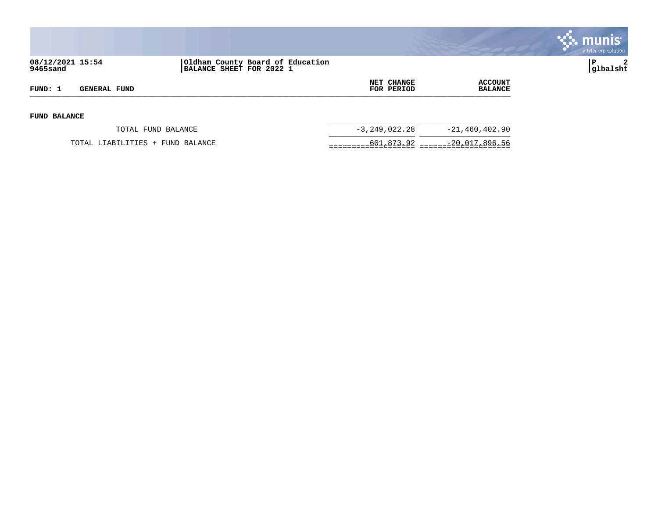

| 08/12/2021 15:54<br>9465sand |                                  | Oldham County Board of Education<br>BALANCE SHEET FOR 2022 1 |                                 |                           | $\overline{2}$<br> glbalsht |
|------------------------------|----------------------------------|--------------------------------------------------------------|---------------------------------|---------------------------|-----------------------------|
| FUND: 1                      | <b>GENERAL FUND</b>              |                                                              | <b>NET CHANGE</b><br>FOR PERIOD | ACCOUNT<br><b>BALANCE</b> |                             |
| <b>FUND BALANCE</b>          |                                  |                                                              |                                 |                           |                             |
|                              | TOTAL FUND BALANCE               |                                                              | $-3, 249, 022.28$               | $-21,460,402.90$          |                             |
|                              | TOTAL LIABILITIES + FUND BALANCE |                                                              |                                 | 601,873.92 -20,017,896.56 |                             |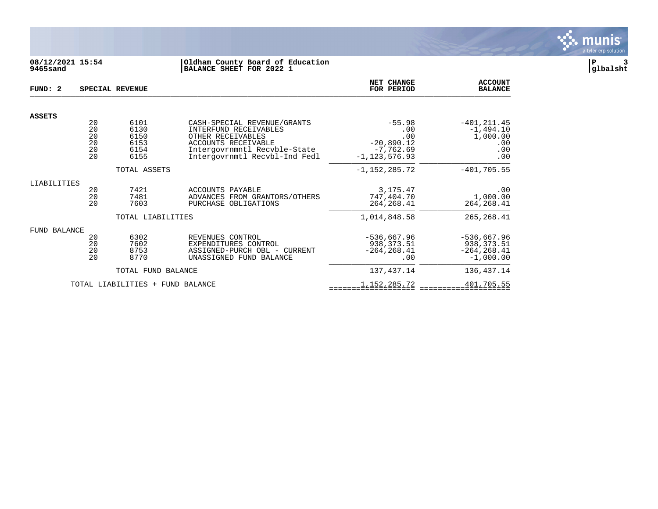

# **08/12/2021 15:54 |Oldham County Board of Education |P 3 9465sand |BALANCE SHEET FOR 2022 1 |glbalsht**

| FUND: 2                          |                                  | SPECIAL REVENUE                              |                                                                                                                                                                   | <b>NET CHANGE</b><br>FOR PERIOD                                            | <b>ACCOUNT</b><br><b>BALANCE</b>                               |
|----------------------------------|----------------------------------|----------------------------------------------|-------------------------------------------------------------------------------------------------------------------------------------------------------------------|----------------------------------------------------------------------------|----------------------------------------------------------------|
| <b>ASSETS</b>                    |                                  |                                              |                                                                                                                                                                   |                                                                            |                                                                |
|                                  | 20<br>20<br>20<br>20<br>20<br>20 | 6101<br>6130<br>6150<br>6153<br>6154<br>6155 | CASH-SPECIAL REVENUE/GRANTS<br>INTERFUND RECEIVABLES<br>OTHER RECEIVABLES<br>ACCOUNTS RECEIVABLE<br>Intergovrnmntl Recvble-State<br>Intergovrnmtl Recvbl-Ind Fedl | $-55.98$<br>.00<br>.00<br>$-20,890.12$<br>$-7,762.69$<br>$-1, 123, 576.93$ | $-401, 211.45$<br>$-1,494.10$<br>1,000.00<br>.00<br>.00<br>.00 |
|                                  |                                  | TOTAL ASSETS                                 |                                                                                                                                                                   | $-1,152,285.72$                                                            | $-401,705.55$                                                  |
| LIABILITIES                      | 20<br>20<br>20                   | 7421<br>7481<br>7603                         | ACCOUNTS PAYABLE<br>ADVANCES FROM GRANTORS/OTHERS<br>PURCHASE OBLIGATIONS                                                                                         | 3, 175. 47<br>747,404.70<br>264, 268.41                                    | .00<br>1,000.00<br>264, 268.41                                 |
|                                  |                                  | TOTAL LIABILITIES                            |                                                                                                                                                                   | 1,014,848.58                                                               | 265, 268.41                                                    |
| <b>FUND BALANCE</b>              | 20<br>20<br>20<br>20             | 6302<br>7602<br>8753<br>8770                 | REVENUES CONTROL<br>EXPENDITURES CONTROL<br>ASSIGNED-PURCH OBL - CURRENT<br>UNASSIGNED FUND BALANCE                                                               | $-536,667.96$<br>938, 373.51<br>$-264, 268.41$<br>.00                      | $-536,667.96$<br>938, 373.51<br>$-264, 268.41$<br>$-1,000.00$  |
|                                  |                                  | TOTAL FUND BALANCE                           |                                                                                                                                                                   | 137,437.14                                                                 | 136,437.14                                                     |
| TOTAL LIABILITIES + FUND BALANCE |                                  |                                              | 1,152,285.72                                                                                                                                                      | 401,705.55                                                                 |                                                                |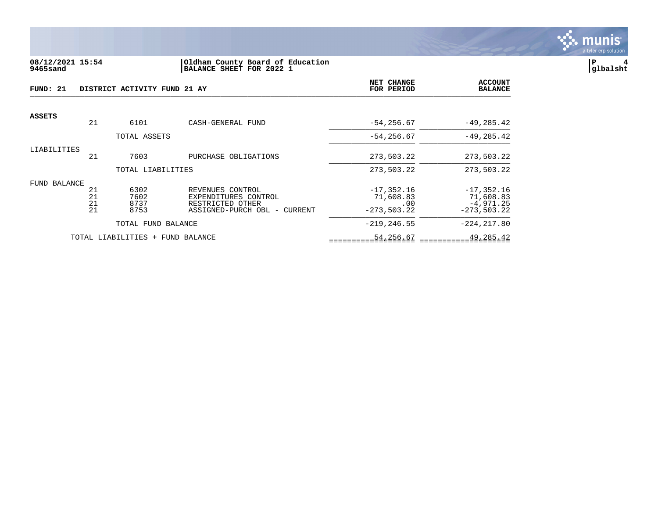

### **08/12/2021 15:54 |Oldham County Board of Education |P 4 9465sand |BALANCE SHEET FOR 2022 1 |glbalsht**

| FUND: 21      |                      | DISTRICT ACTIVITY FUND 21 AY     |                                                                                              | NET CHANGE<br>FOR PERIOD                           | <b>ACCOUNT</b><br><b>BALANCE</b>                           |
|---------------|----------------------|----------------------------------|----------------------------------------------------------------------------------------------|----------------------------------------------------|------------------------------------------------------------|
| <b>ASSETS</b> | 21                   | 6101                             |                                                                                              |                                                    |                                                            |
|               |                      |                                  | CASH-GENERAL FUND                                                                            | $-54, 256.67$                                      | $-49, 285.42$                                              |
|               |                      | TOTAL ASSETS                     |                                                                                              | $-54, 256.67$                                      | $-49, 285.42$                                              |
| LIABILITIES   | 21                   | 7603                             | PURCHASE OBLIGATIONS                                                                         | 273,503.22                                         | 273,503.22                                                 |
|               |                      | TOTAL LIABILITIES                |                                                                                              | 273,503.22                                         | 273,503.22                                                 |
| FUND BALANCE  | 21<br>21<br>21<br>21 | 6302<br>7602<br>8737<br>8753     | REVENUES CONTROL<br>EXPENDITURES CONTROL<br>RESTRICTED OTHER<br>ASSIGNED-PURCH OBL - CURRENT | $-17, 352.16$<br>71,608.83<br>.00<br>$-273,503.22$ | $-17, 352.16$<br>71,608.83<br>$-4,971.25$<br>$-273,503.22$ |
|               |                      | TOTAL FUND BALANCE               |                                                                                              | $-219, 246.55$                                     | $-224, 217.80$                                             |
|               |                      | TOTAL LIABILITIES + FUND BALANCE |                                                                                              | 54,256.67                                          | 49,285.42                                                  |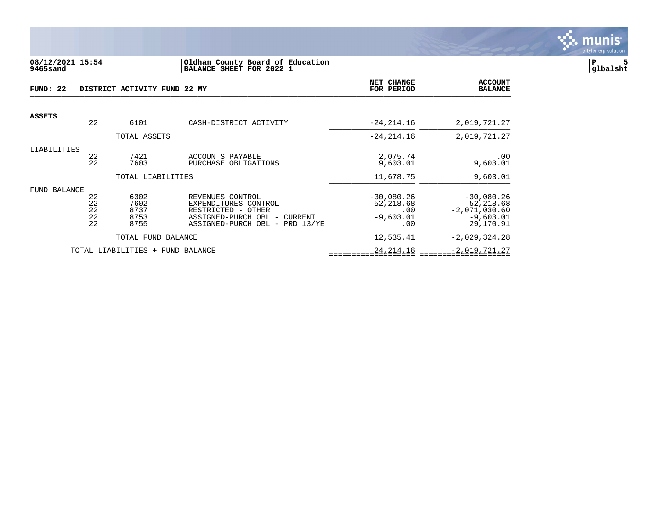

#### **08/12/2021 15:54 |Oldham County Board of Education |P 5 9465sand |BALANCE SHEET FOR 2022 1 |glbalsht**

| FUND: 22      |                            | DISTRICT ACTIVITY FUND 22 MY         |                                                                                                                                        | NET CHANGE<br>FOR PERIOD                               | <b>ACCOUNT</b><br><b>BALANCE</b>                                         |
|---------------|----------------------------|--------------------------------------|----------------------------------------------------------------------------------------------------------------------------------------|--------------------------------------------------------|--------------------------------------------------------------------------|
| <b>ASSETS</b> |                            |                                      |                                                                                                                                        |                                                        |                                                                          |
|               | 22                         | 6101                                 | CASH-DISTRICT ACTIVITY                                                                                                                 | $-24, 214.16$                                          | 2,019,721.27                                                             |
|               |                            | TOTAL ASSETS                         |                                                                                                                                        | $-24, 214.16$                                          | 2,019,721.27                                                             |
| LIABILITIES   | 22<br>22                   | 7421<br>7603                         | ACCOUNTS PAYABLE<br>PURCHASE OBLIGATIONS                                                                                               | 2,075.74<br>9,603.01                                   | .00<br>9,603.01                                                          |
|               |                            | TOTAL LIABILITIES                    |                                                                                                                                        | 11,678.75                                              | 9,603.01                                                                 |
| FUND BALANCE  | 22<br>22<br>22<br>22<br>22 | 6302<br>7602<br>8737<br>8753<br>8755 | REVENUES CONTROL<br>EXPENDITURES CONTROL<br>RESTRICTED - OTHER<br>ASSIGNED-PURCH OBL -<br>CURRENT<br>ASSIGNED-PURCH OBL -<br>PRD 13/YE | $-30,080.26$<br>52,218.68<br>.00<br>$-9,603.01$<br>.00 | $-30,080.26$<br>52,218.68<br>$-2,071,030.60$<br>$-9,603.01$<br>29,170.91 |
|               |                            | TOTAL FUND BALANCE                   |                                                                                                                                        | 12,535.41                                              | $-2,029,324.28$                                                          |
|               |                            | TOTAL LIABILITIES + FUND BALANCE     |                                                                                                                                        | 24, 214. 16                                            | $-2,019,721.27$                                                          |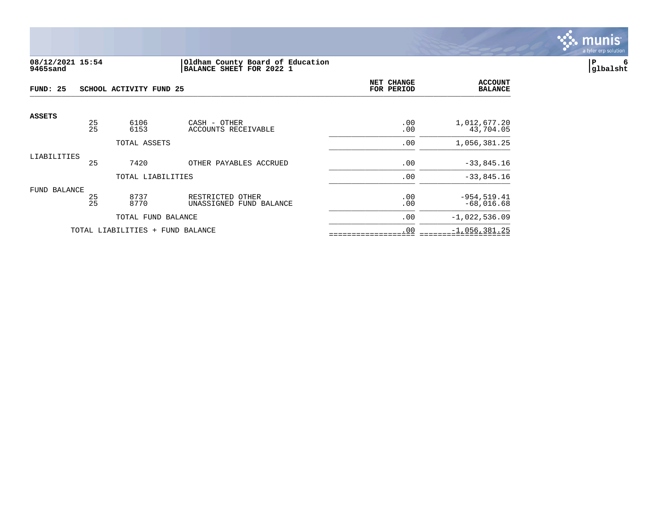

# **08/12/2021 15:54 |Oldham County Board of Education |P 6 9465sand |BALANCE SHEET FOR 2022 1 |glbalsht**

| FUND: 25      |                                  | SCHOOL ACTIVITY FUND 25 |                                             | NET CHANGE<br>FOR PERIOD | <b>ACCOUNT</b><br><b>BALANCE</b> |
|---------------|----------------------------------|-------------------------|---------------------------------------------|--------------------------|----------------------------------|
| <b>ASSETS</b> | 25                               | 6106                    | CASH - OTHER                                | .00                      | 1,012,677.20                     |
|               | 25                               | 6153                    | ACCOUNTS RECEIVABLE                         | .00                      | 43,704.05                        |
|               |                                  | TOTAL ASSETS            |                                             | .00                      | 1,056,381.25                     |
| LIABILITIES   | 25                               | 7420                    | OTHER PAYABLES ACCRUED                      | .00                      | $-33,845.16$                     |
|               |                                  | TOTAL LIABILITIES       |                                             | .00                      | $-33,845.16$                     |
| FUND BALANCE  |                                  |                         |                                             |                          |                                  |
|               | 25<br>25                         | 8737<br>8770            | RESTRICTED OTHER<br>UNASSIGNED FUND BALANCE | .00<br>.00               | $-954, 519.41$<br>$-68,016.68$   |
|               |                                  | TOTAL FUND BALANCE      |                                             | .00                      | $-1,022,536.09$                  |
|               | TOTAL LIABILITIES + FUND BALANCE |                         |                                             | .00                      | $-1,056,381.25$                  |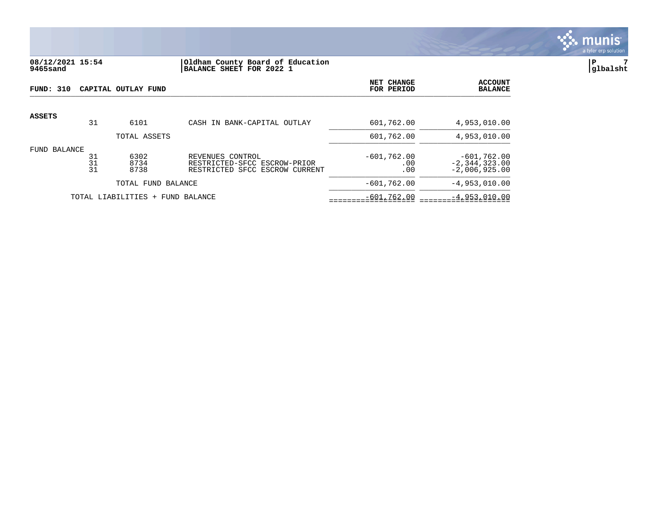

# **08/12/2021 15:54 |Oldham County Board of Education |P 7 9465sand |BALANCE SHEET FOR 2022 1 |glbalsht**

| FUND: 310    |                | CAPITAL OUTLAY FUND              |                                                                                    | NET CHANGE<br>FOR PERIOD    | <b>ACCOUNT</b><br><b>BALANCE</b>                      |
|--------------|----------------|----------------------------------|------------------------------------------------------------------------------------|-----------------------------|-------------------------------------------------------|
| ASSETS       | 31             | 6101                             | CASH IN BANK-CAPITAL OUTLAY                                                        | 601,762.00                  | 4,953,010.00                                          |
|              |                | TOTAL ASSETS                     |                                                                                    | 601,762.00                  | 4,953,010.00                                          |
| FUND BALANCE | 31<br>31<br>31 | 6302<br>8734<br>8738             | REVENUES CONTROL<br>RESTRICTED-SFCC ESCROW-PRIOR<br>RESTRICTED SFCC ESCROW CURRENT | $-601,762.00$<br>.00<br>.00 | $-601,762.00$<br>$-2, 344, 323.00$<br>$-2,006,925.00$ |
|              |                | TOTAL FUND BALANCE               |                                                                                    | $-601,762.00$               | $-4,953,010.00$                                       |
|              |                | TOTAL LIABILITIES + FUND BALANCE |                                                                                    | $-601,762.00$               | $-4,953,010.00$                                       |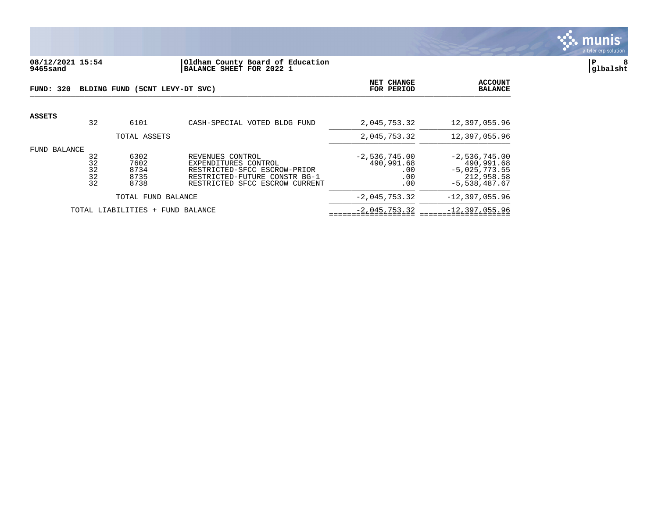

# **08/12/2021 15:54 |Oldham County Board of Education |P 8 9465sand |BALANCE SHEET FOR 2022 1 |glbalsht**

| FUND: 320    |                            | BLDING FUND (5CNT LEVY-DT SVC)       |                                                                                                                                             | NET CHANGE<br>FOR PERIOD                           | <b>ACCOUNT</b><br><b>BALANCE</b>                                                  |
|--------------|----------------------------|--------------------------------------|---------------------------------------------------------------------------------------------------------------------------------------------|----------------------------------------------------|-----------------------------------------------------------------------------------|
| ASSETS       | 32                         | 6101                                 | CASH-SPECIAL VOTED BLDG FUND                                                                                                                | 2,045,753.32                                       | 12,397,055.96                                                                     |
|              |                            | TOTAL ASSETS                         |                                                                                                                                             | 2,045,753.32                                       | 12,397,055.96                                                                     |
| FUND BALANCE | 32<br>32<br>32<br>32<br>32 | 6302<br>7602<br>8734<br>8735<br>8738 | REVENUES CONTROL<br>EXPENDITURES CONTROL<br>RESTRICTED-SFCC ESCROW-PRIOR<br>RESTRICTED-FUTURE CONSTR BG-1<br>RESTRICTED SFCC ESCROW CURRENT | $-2,536,745.00$<br>490,991.68<br>.00<br>.00<br>.00 | $-2,536,745.00$<br>490,991.68<br>$-5,025,773.55$<br>212,958.58<br>$-5,538,487.67$ |
|              |                            | TOTAL FUND BALANCE                   |                                                                                                                                             | $-2,045,753.32$                                    | $-12,397,055.96$                                                                  |
|              |                            | TOTAL LIABILITIES + FUND BALANCE     |                                                                                                                                             | $-2,045,753.32$                                    | $-12, 397, 055.96$                                                                |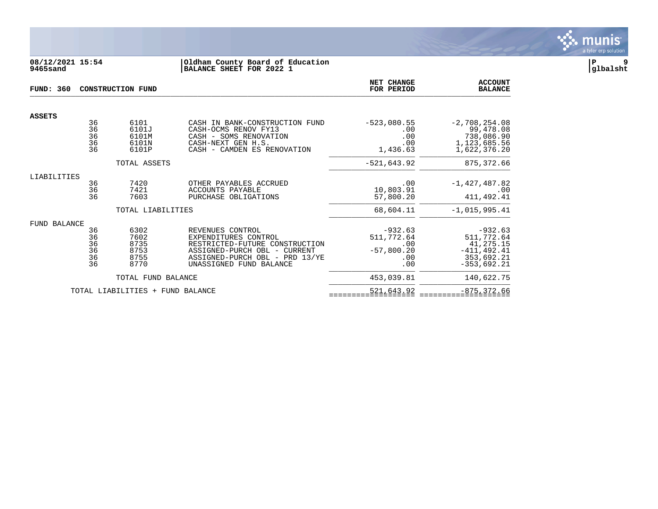

# **08/12/2021 15:54 |Oldham County Board of Education |P 9 9465sand |BALANCE SHEET FOR 2022 1 |glbalsht**

| <b>FUND: 360</b> |                                  | CONSTRUCTION FUND                            |                                                                                                                                                                         | <b>NET CHANGE</b><br>FOR PERIOD                              | <b>ACCOUNT</b><br><b>BALANCE</b>                                                      |
|------------------|----------------------------------|----------------------------------------------|-------------------------------------------------------------------------------------------------------------------------------------------------------------------------|--------------------------------------------------------------|---------------------------------------------------------------------------------------|
| <b>ASSETS</b>    |                                  |                                              |                                                                                                                                                                         |                                                              |                                                                                       |
|                  | 36<br>36<br>36<br>36<br>36       | 6101<br>6101J<br>6101M<br>6101N<br>6101P     | CASH IN BANK-CONSTRUCTION FUND<br>CASH-OCMS RENOV FY13<br>CASH - SOMS RENOVATION<br>CASH-NEXT GEN H.S.<br>CASH - CAMDEN ES RENOVATION                                   | $-523,080.55$<br>.00<br>.00<br>.00<br>1,436.63               | $-2,708,254.08$<br>99,478.08<br>738,086.90<br>1,123,685.56<br>1,622,376.20            |
|                  |                                  | TOTAL ASSETS                                 |                                                                                                                                                                         | $-521,643.92$                                                | 875, 372.66                                                                           |
| LIABILITIES      | 36<br>36<br>36                   | 7420<br>7421<br>7603                         | OTHER PAYABLES ACCRUED<br><b>ACCOUNTS PAYABLE</b><br>PURCHASE OBLIGATIONS                                                                                               | .00<br>10,803.91<br>57,800.20                                | $-1,427,487.82$<br>.00<br>411, 492.41                                                 |
|                  |                                  | TOTAL LIABILITIES                            |                                                                                                                                                                         | 68,604.11                                                    | $-1,015,995.41$                                                                       |
| FUND BALANCE     | 36<br>36<br>36<br>36<br>36<br>36 | 6302<br>7602<br>8735<br>8753<br>8755<br>8770 | REVENUES CONTROL<br>EXPENDITURES CONTROL<br>RESTRICTED-FUTURE CONSTRUCTION<br>ASSIGNED-PURCH OBL - CURRENT<br>ASSIGNED-PURCH OBL - PRD 13/YE<br>UNASSIGNED FUND BALANCE | $-932.63$<br>511,772.64<br>.00<br>$-57,800.20$<br>.00<br>.00 | $-932.63$<br>511,772.64<br>41,275.15<br>$-411, 492.41$<br>353,692.21<br>$-353,692.21$ |
|                  |                                  | TOTAL FUND BALANCE                           |                                                                                                                                                                         | 453,039.81                                                   | 140,622.75                                                                            |
|                  |                                  | TOTAL LIABILITIES + FUND BALANCE             |                                                                                                                                                                         | 521,643.92                                                   | $-875, 372.66$                                                                        |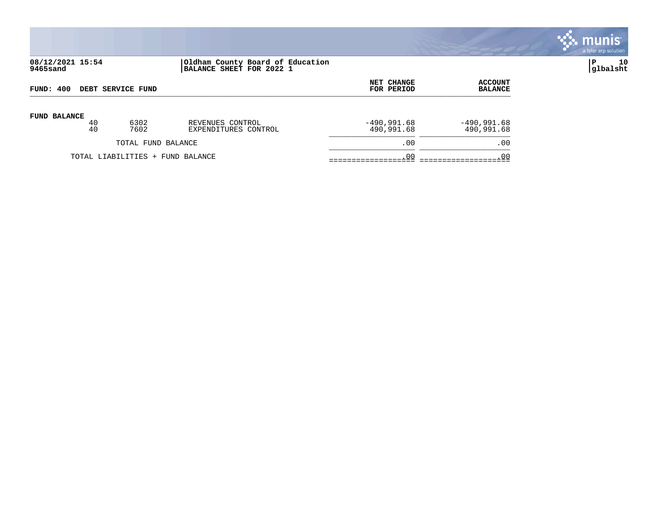

# **08/12/2021 15:54 |Oldham County Board of Education |P 10 9465sand |BALANCE SHEET FOR 2022 1 |glbalsht**

| FUND: 400                |                                  |      |                      | NET CHANGE    | <b>ACCOUNT</b> |
|--------------------------|----------------------------------|------|----------------------|---------------|----------------|
| <b>DEBT SERVICE FUND</b> |                                  |      |                      | FOR PERIOD    | <b>BALANCE</b> |
| <b>FUND BALANCE</b>      | 40                               | 6302 | REVENUES CONTROL     | $-490,991.68$ | $-490,991.68$  |
|                          | 40                               | 7602 | EXPENDITURES CONTROL | 490,991.68    | 490,991.68     |
| TOTAL FUND BALANCE       |                                  |      |                      | .00           | .00            |
|                          | TOTAL LIABILITIES + FUND BALANCE |      |                      | .00           | .0C            |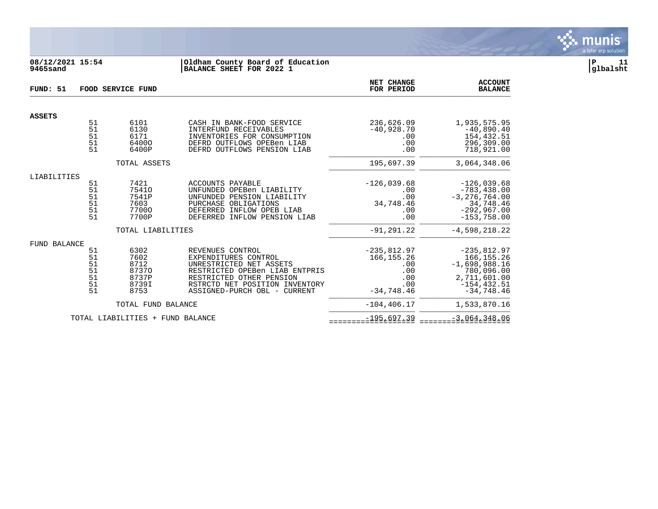

## **08/12/2021 15:54 |Oldham County Board of Education |P 11 9465sand |BALANCE SHEET FOR 2022 1 |glbalsht**

| FUND: 51      | <b>FOOD SERVICE FUND</b>                      |                                                         |                                                                                                                                                                                                     |                                                                           | <b>ACCOUNT</b><br><b>BALANCE</b>                                                                                 |
|---------------|-----------------------------------------------|---------------------------------------------------------|-----------------------------------------------------------------------------------------------------------------------------------------------------------------------------------------------------|---------------------------------------------------------------------------|------------------------------------------------------------------------------------------------------------------|
| <b>ASSETS</b> |                                               |                                                         |                                                                                                                                                                                                     |                                                                           |                                                                                                                  |
|               | 51<br>51<br>51<br>51<br>51                    | 6101<br>6130<br>6171<br>64000<br>6400P                  | CASH IN BANK-FOOD SERVICE<br>INTERFUND RECEIVABLES<br>INVENTORIES FOR CONSUMPTION<br>DEFRD OUTFLOWS OPEBen LIAB<br>DEFRD OUTFLOWS PENSION LIAB                                                      | 236,626.09<br>$-40,928.70$<br>$.00 \,$<br>.00<br>.00                      | 1,935,575.95<br>$-40,890.40$<br>154,432.51<br>296,309.00<br>718,921.00                                           |
|               |                                               | TOTAL ASSETS                                            |                                                                                                                                                                                                     | 195,697.39                                                                | 3,064,348.06                                                                                                     |
| LIABILITIES   |                                               |                                                         |                                                                                                                                                                                                     |                                                                           |                                                                                                                  |
|               | 51<br>51<br>51<br>51<br>51<br>51              | 7421<br>75410<br>7541P<br>7603<br>77000<br>7700P        | ACCOUNTS PAYABLE<br>UNFUNDED OPEBen LIABILITY<br>UNFUNDED PENSION LIABILITY<br>PURCHASE OBLIGATIONS<br>DEFERRED INFLOW OPEB LIAB<br>DEFERRED INFLOW PENSION LIAB                                    | $-126,039.68$<br>.00<br>.00<br>34,748.46<br>.00<br>.00                    | $-126,039.68$<br>$-783, 438.00$<br>$-3, 276, 764.00$<br>34,748.46<br>$-292,967.00$<br>$-153,758.00$              |
|               |                                               | TOTAL LIABILITIES                                       |                                                                                                                                                                                                     | $-91, 291, 22$                                                            | $-4,598,218.22$                                                                                                  |
| FUND BALANCE  | 51<br>51<br>51<br>51<br>$\frac{51}{51}$<br>51 | 6302<br>7602<br>8712<br>87370<br>8737P<br>8739I<br>8753 | REVENUES CONTROL<br>EXPENDITURES CONTROL<br>UNRESTRICTED NET ASSETS<br>RESTRICTED OPEBen LIAB ENTPRIS<br>RESTRICTED OTHER PENSION<br>RSTRCTD NET POSITION INVENTORY<br>ASSIGNED-PURCH OBL - CURRENT | $-235,812.97$<br>166, 155. 26<br>.00<br>.00<br>.00<br>.00<br>$-34.748.46$ | $-235,812.97$<br>166, 155. 26<br>$-1,698,988.16$<br>780,096.00<br>2,711,601.00<br>$-154, 432.51$<br>$-34,748.46$ |
|               |                                               | TOTAL FUND BALANCE                                      |                                                                                                                                                                                                     | $-104, 406.17$                                                            | 1,533,870.16                                                                                                     |
|               |                                               | TOTAL LIABILITIES + FUND BALANCE                        |                                                                                                                                                                                                     | $-195,697.39$                                                             | $-3,064,348.06$                                                                                                  |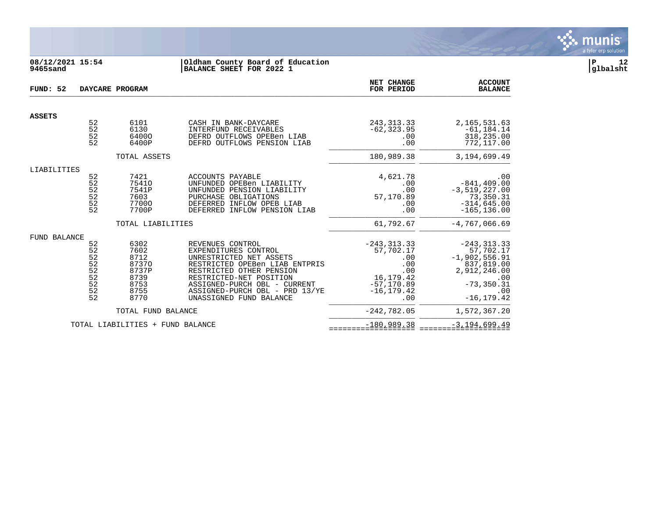

# **08/12/2021 15:54 |Oldham County Board of Education |P 12 9465sand |BALANCE SHEET FOR 2022 1 |glbalsht**

| FUND: 52            |                                                           | DAYCARE PROGRAM                                                        |                                                                                                                                                                                                                                                           | NET CHANGE<br>FOR PERIOD                                                                               | <b>ACCOUNT</b><br><b>BALANCE</b>                                                                                             |
|---------------------|-----------------------------------------------------------|------------------------------------------------------------------------|-----------------------------------------------------------------------------------------------------------------------------------------------------------------------------------------------------------------------------------------------------------|--------------------------------------------------------------------------------------------------------|------------------------------------------------------------------------------------------------------------------------------|
| <b>ASSETS</b>       |                                                           |                                                                        |                                                                                                                                                                                                                                                           |                                                                                                        |                                                                                                                              |
|                     | 52<br>52<br>$5\overline{2}$<br>52                         | 6101<br>6130<br>64000<br>6400P                                         | CASH IN BANK-DAYCARE<br>INTERFUND RECEIVABLES<br>DEFRD OUTFLOWS OPEBen LIAB<br>DEFRD OUTFLOWS PENSION LIAB                                                                                                                                                | 243, 313. 33<br>$-62, 323.95$<br>.00<br>.00                                                            | 2, 165, 531.63<br>$-61, 184.14$<br>318,235.00<br>772,117.00                                                                  |
|                     |                                                           | TOTAL ASSETS                                                           |                                                                                                                                                                                                                                                           | 180,989.38                                                                                             | 3,194,699.49                                                                                                                 |
| LIABILITIES         |                                                           |                                                                        |                                                                                                                                                                                                                                                           |                                                                                                        |                                                                                                                              |
|                     | 52<br>52<br>52<br>$\overline{52}$<br>52<br>52             | 7421<br>75410<br>7541P<br>7603<br>77000<br>7700P                       | <b>ACCOUNTS PAYABLE</b><br>UNFUNDED OPEBen LIABILITY<br>UNFUNDED PENSION LIABILITY<br>PURCHASE OBLIGATIONS<br>DEFERRED INFLOW OPEB LIAB<br>DEFERRED INFLOW PENSION LIAB                                                                                   | 4,621.78<br>.00<br>.00<br>57,170.89<br>.00<br>.00                                                      | $.00$<br>-841,409.00<br>$-3,519,227.00$<br>73,350.31<br>$-314,645.00$<br>$-165, 136.00$                                      |
|                     |                                                           | TOTAL LIABILITIES                                                      |                                                                                                                                                                                                                                                           | 61,792.67                                                                                              | $-4,767,066.69$                                                                                                              |
| <b>FUND BALANCE</b> |                                                           |                                                                        |                                                                                                                                                                                                                                                           |                                                                                                        |                                                                                                                              |
|                     | 52<br>52<br>$\frac{52}{52}$<br>52<br>52<br>52<br>52<br>52 | 6302<br>7602<br>8712<br>87370<br>8737P<br>8739<br>8753<br>8755<br>8770 | REVENUES CONTROL<br>EXPENDITURES CONTROL<br>UNRESTRICTED NET ASSETS<br>RESTRICTED OPEBen LIAB ENTPRIS<br>RESTRICTED OTHER PENSION<br>RESTRICTED-NET POSITION<br>ASSIGNED-PURCH OBL - CURRENT<br>ASSIGNED-PURCH OBL - PRD 13/YE<br>UNASSIGNED FUND BALANCE | $-243, 313.33$<br>57,702.17<br>.00<br>.00<br>.00<br>16,179.42<br>$-57, 170.89$<br>$-16, 179.42$<br>.00 | $-243, 313.33$<br>57,702.17<br>$-1,902,556.91$<br>837,819.00<br>2,912,246.00<br>.00<br>$-73, 350.31$<br>.00<br>$-16, 179.42$ |
|                     |                                                           | TOTAL FUND BALANCE                                                     |                                                                                                                                                                                                                                                           | $-242,782.05$                                                                                          | 1,572,367.20                                                                                                                 |
|                     |                                                           | TOTAL LIABILITIES + FUND BALANCE                                       |                                                                                                                                                                                                                                                           | $-180,989.38$                                                                                          | $-3,194,699.49$                                                                                                              |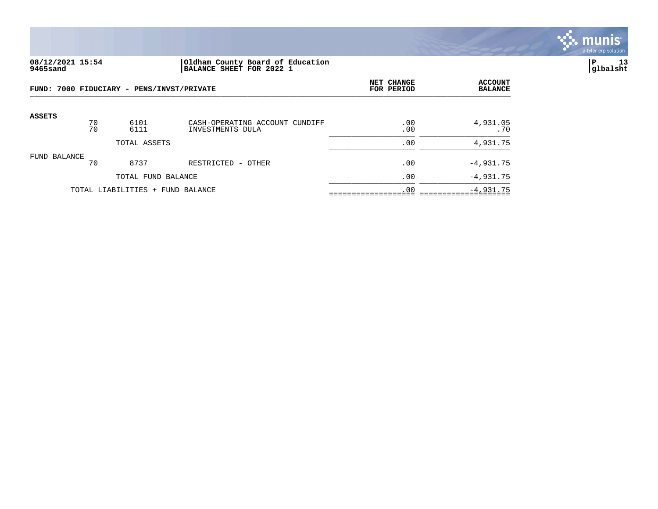

## **08/12/2021 15:54 |Oldham County Board of Education |P 13 9465sand |BALANCE SHEET FOR 2022 1 |glbalsht**

|               |              | FUND: 7000 FIDUCIARY - PENS/INVST/PRIVATE | NET CHANGE<br>FOR PERIOD                           | <b>ACCOUNT</b><br><b>BALANCE</b> |                 |
|---------------|--------------|-------------------------------------------|----------------------------------------------------|----------------------------------|-----------------|
| <b>ASSETS</b> | 70<br>70     | 6101<br>6111                              | CASH-OPERATING ACCOUNT CUNDIFF<br>INVESTMENTS DULA | .00<br>.00                       | 4,931.05<br>.70 |
|               | TOTAL ASSETS |                                           |                                                    | .00                              | 4,931.75        |
| FUND BALANCE  | 70           | 8737                                      | RESTRICTED<br>- OTHER                              | .00                              | $-4,931.75$     |
|               |              | TOTAL FUND BALANCE                        |                                                    | .00                              | $-4,931.75$     |
|               |              | TOTAL LIABILITIES + FUND BALANCE          | .00                                                | $-4,931.75$                      |                 |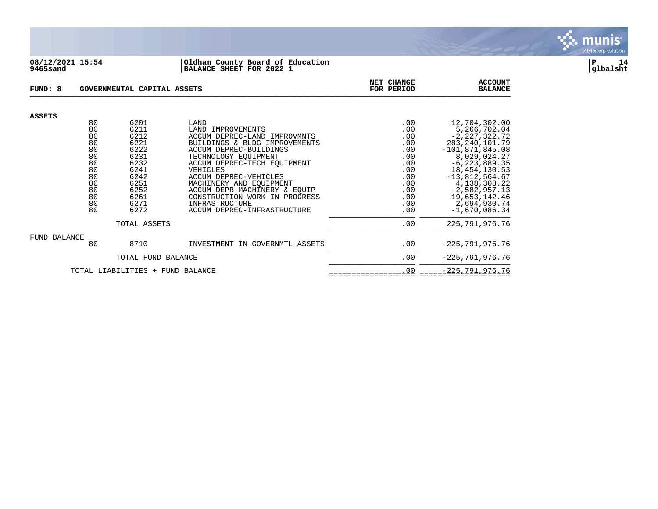

#### **08/12/2021 15:54 |Oldham County Board of Education |P 14 9465sand |BALANCE SHEET FOR 2022 1 |glbalsht**

| FUND: 8                          |          | GOVERNMENTAL CAPITAL ASSETS | NET CHANGE<br>FOR PERIOD                          | <b>ACCOUNT</b><br><b>BALANCE</b> |                                   |
|----------------------------------|----------|-----------------------------|---------------------------------------------------|----------------------------------|-----------------------------------|
| <b>ASSETS</b>                    |          |                             |                                                   |                                  |                                   |
|                                  | 80       | 6201                        | LAND                                              | .00                              | 12,704,302.00                     |
|                                  | 80<br>80 | 6211<br>6212                | LAND IMPROVEMENTS<br>ACCUM DEPREC-LAND IMPROVMNTS | .00<br>.00                       | 5,266,702.04<br>$-2, 227, 322.72$ |
|                                  | 80       | 6221                        | BUILDINGS & BLDG IMPROVEMENTS                     | .00                              | 283, 240, 101.79                  |
|                                  | 80       | 6222                        | ACCUM DEPREC-BUILDINGS                            | .00                              | $-101,871,845.08$                 |
|                                  | 80       | 6231                        | TECHNOLOGY EOUIPMENT                              | .00                              | 8,029,024.27                      |
|                                  | 80       | 6232                        | ACCUM DEPREC-TECH EOUIPMENT                       | .00                              | $-6, 223, 889.35$                 |
|                                  | 80       | 6241                        | VEHICLES                                          | .00                              | 18, 454, 130.53                   |
|                                  | 80       | 6242                        | ACCUM DEPREC-VEHICLES                             | .00                              | $-13,812,564.67$                  |
|                                  | 80       | 6251                        | MACHINERY AND EQUIPMENT                           | .00                              | 4, 138, 308. 22                   |
|                                  | 80       | 6252                        | ACCUM DEPR-MACHINERY & EQUIP                      | .00                              | $-2,582,957.13$                   |
|                                  | 80<br>80 | 6261                        | CONSTRUCTION WORK IN PROGRESS                     | .00                              | 19,653,142.46                     |
|                                  | 80       | 6271<br>6272                | INFRASTRUCTURE<br>ACCUM DEPREC-INFRASTRUCTURE     | .00<br>.00                       | 2,694,930.74<br>$-1,670,086.34$   |
|                                  |          |                             |                                                   |                                  |                                   |
|                                  |          | TOTAL ASSETS                | .00                                               | 225, 791, 976. 76                |                                   |
| FUND BALANCE                     |          |                             |                                                   |                                  |                                   |
|                                  | 80       | 8710                        | INVESTMENT IN GOVERNMTL ASSETS                    | .00                              | $-225,791,976.76$                 |
|                                  |          | TOTAL FUND BALANCE          | .00                                               | $-225,791,976.76$                |                                   |
| TOTAL LIABILITIES + FUND BALANCE |          |                             |                                                   | .00                              | $-225, 791, 976.76$               |